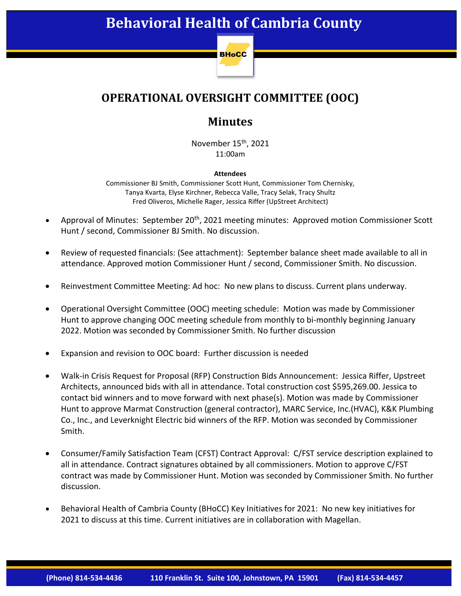

## **OPERATIONAL OVERSIGHT COMMITTEE (OOC)**

## **Minutes**

November 15<sup>th</sup>, 2021 11:00am

## **Attendees**

Commissioner BJ Smith, Commissioner Scott Hunt, Commissioner Tom Chernisky, Tanya Kvarta, Elyse Kirchner, Rebecca Valle, Tracy Selak, Tracy Shultz Fred Oliveros, Michelle Rager, Jessica Riffer (UpStreet Architect)

- Approval of Minutes: September 20<sup>th</sup>, 2021 meeting minutes: Approved motion Commissioner Scott Hunt / second, Commissioner BJ Smith. No discussion.
- Review of requested financials: (See attachment): September balance sheet made available to all in attendance. Approved motion Commissioner Hunt / second, Commissioner Smith. No discussion.
- Reinvestment Committee Meeting: Ad hoc: No new plans to discuss. Current plans underway.
- Operational Oversight Committee (OOC) meeting schedule: Motion was made by Commissioner Hunt to approve changing OOC meeting schedule from monthly to bi-monthly beginning January 2022. Motion was seconded by Commissioner Smith. No further discussion
- Expansion and revision to OOC board: Further discussion is needed
- Walk-in Crisis Request for Proposal (RFP) Construction Bids Announcement: Jessica Riffer, Upstreet Architects, announced bids with all in attendance. Total construction cost \$595,269.00. Jessica to contact bid winners and to move forward with next phase(s). Motion was made by Commissioner Hunt to approve Marmat Construction (general contractor), MARC Service, Inc.(HVAC), K&K Plumbing Co., Inc., and Leverknight Electric bid winners of the RFP. Motion was seconded by Commissioner Smith.
- Consumer/Family Satisfaction Team (CFST) Contract Approval: C/FST service description explained to all in attendance. Contract signatures obtained by all commissioners. Motion to approve C/FST contract was made by Commissioner Hunt. Motion was seconded by Commissioner Smith. No further discussion.
- Behavioral Health of Cambria County (BHoCC) Key Initiatives for 2021: No new key initiatives for 2021 to discuss at this time. Current initiatives are in collaboration with Magellan.